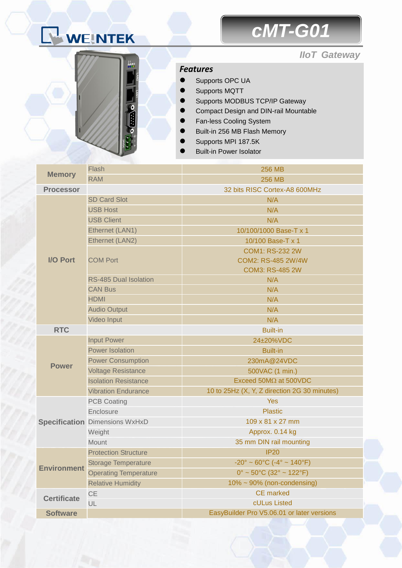# WEINTEK

## *cMT-G01*

#### *IIoT Gateway*



#### *Features*

- Supports OPC UA
- Supports MQTT
- Supports MODBUS TCP/IP Gateway
- Compact Design and DIN-rail Mountable
- Fan-less Cooling System
- Built-in 256 MB Flash Memory
- Supports MPI 187.5K
- Built-in Power Isolator

| <b>Memory</b>      | Flash                                 | <b>256 MB</b>                                                      |  |
|--------------------|---------------------------------------|--------------------------------------------------------------------|--|
|                    | <b>RAM</b>                            | <b>256 MB</b>                                                      |  |
| <b>Processor</b>   |                                       | 32 bits RISC Cortex-A8 600MHz                                      |  |
| I/O Port           | <b>SD Card Slot</b>                   | N/A                                                                |  |
|                    | <b>USB Host</b>                       | N/A                                                                |  |
|                    | <b>USB Client</b>                     | N/A                                                                |  |
|                    | Ethernet (LAN1)                       | 10/100/1000 Base-T x 1                                             |  |
|                    | Ethernet (LAN2)                       | 10/100 Base-T x 1                                                  |  |
|                    | <b>COM Port</b>                       | <b>COM1: RS-232 2W</b>                                             |  |
|                    |                                       | COM2: RS-485 2W/4W                                                 |  |
|                    |                                       | <b>COM3: RS-485 2W</b>                                             |  |
|                    | <b>RS-485 Dual Isolation</b>          | N/A                                                                |  |
|                    | <b>CAN Bus</b>                        | N/A                                                                |  |
|                    | <b>HDMI</b>                           | N/A                                                                |  |
|                    | <b>Audio Output</b>                   | N/A                                                                |  |
|                    | Video Input                           | N/A                                                                |  |
| <b>RTC</b>         |                                       | <b>Built-in</b>                                                    |  |
| <b>Power</b>       | <b>Input Power</b>                    | 24±20%VDC                                                          |  |
|                    | <b>Power Isolation</b>                | <b>Built-in</b>                                                    |  |
|                    | <b>Power Consumption</b>              | 230mA@24VDC                                                        |  |
|                    | <b>Voltage Resistance</b>             | 500VAC (1 min.)                                                    |  |
|                    | <b>Isolation Resistance</b>           | Exceed 50M $\Omega$ at 500VDC                                      |  |
|                    | <b>Vibration Endurance</b>            | 10 to 25Hz (X, Y, Z direction 2G 30 minutes)                       |  |
|                    | <b>PCB Coating</b>                    | <b>Yes</b>                                                         |  |
|                    | Enclosure                             | <b>Plastic</b>                                                     |  |
|                    | <b>Specification Dimensions WxHxD</b> | 109 x 81 x 27 mm                                                   |  |
|                    | Weight                                | Approx. 0.14 kg                                                    |  |
|                    | Mount                                 | 35 mm DIN rail mounting                                            |  |
| <b>Environment</b> | <b>Protection Structure</b>           | IP20                                                               |  |
|                    | <b>Storage Temperature</b>            | $-20^{\circ} \sim 60^{\circ}$ C ( $-4^{\circ} \sim 140^{\circ}$ F) |  |
|                    | <b>Operating Temperature</b>          | $0^{\circ}$ ~ 50 $^{\circ}$ C (32 $^{\circ}$ ~ 122 $^{\circ}$ F)   |  |
|                    | <b>Relative Humidity</b>              | 10% ~ 90% (non-condensing)                                         |  |
| <b>Certificate</b> | <b>CE</b>                             | <b>CE</b> marked                                                   |  |
|                    | UL                                    | cULus Listed                                                       |  |
| <b>Software</b>    |                                       | EasyBuilder Pro V5.06.01 or later versions                         |  |